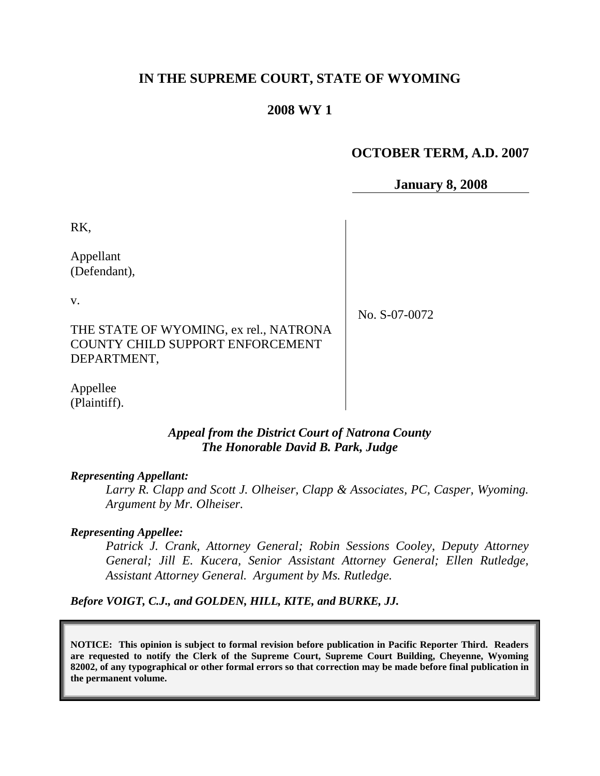# **IN THE SUPREME COURT, STATE OF WYOMING**

# **2008 WY 1**

# **OCTOBER TERM, A.D. 2007**

**January 8, 2008**

RK,

Appellant (Defendant),

v.

No. S-07-0072

THE STATE OF WYOMING, ex rel., NATRONA COUNTY CHILD SUPPORT ENFORCEMENT DEPARTMENT,

Appellee (Plaintiff).

# *Appeal from the District Court of Natrona County The Honorable David B. Park, Judge*

# *Representing Appellant:*

*Larry R. Clapp and Scott J. Olheiser, Clapp & Associates, PC, Casper, Wyoming. Argument by Mr. Olheiser.*

# *Representing Appellee:*

*Patrick J. Crank, Attorney General; Robin Sessions Cooley, Deputy Attorney General; Jill E. Kucera, Senior Assistant Attorney General; Ellen Rutledge, Assistant Attorney General. Argument by Ms. Rutledge.*

*Before VOIGT, C.J., and GOLDEN, HILL, KITE, and BURKE, JJ.*

**NOTICE: This opinion is subject to formal revision before publication in Pacific Reporter Third. Readers are requested to notify the Clerk of the Supreme Court, Supreme Court Building, Cheyenne, Wyoming 82002, of any typographical or other formal errors so that correction may be made before final publication in the permanent volume.**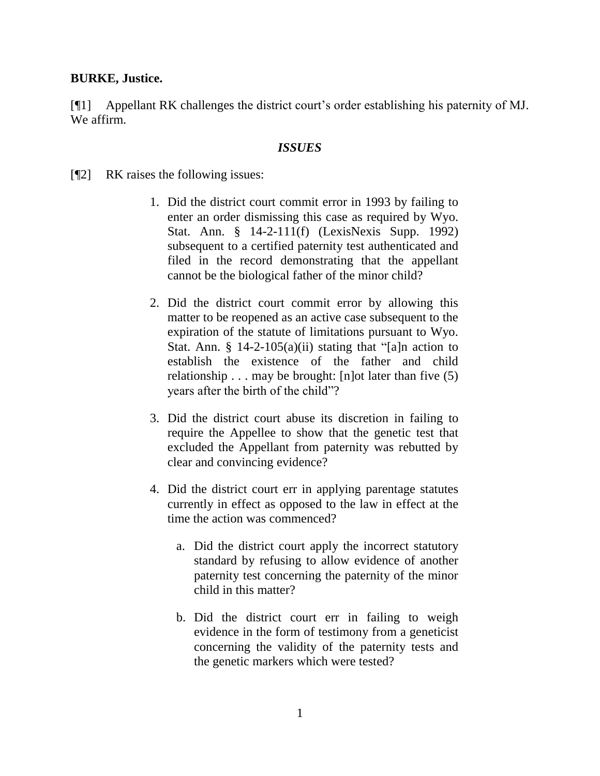### **BURKE, Justice.**

[¶1] Appellant RK challenges the district court"s order establishing his paternity of MJ. We affirm.

#### *ISSUES*

[¶2] RK raises the following issues:

- 1. Did the district court commit error in 1993 by failing to enter an order dismissing this case as required by Wyo. Stat. Ann. § 14-2-111(f) (LexisNexis Supp. 1992) subsequent to a certified paternity test authenticated and filed in the record demonstrating that the appellant cannot be the biological father of the minor child?
- 2. Did the district court commit error by allowing this matter to be reopened as an active case subsequent to the expiration of the statute of limitations pursuant to Wyo. Stat. Ann. § 14-2-105(a)(ii) stating that "[a]n action to establish the existence of the father and child relationship  $\ldots$  may be brought: [n] ot later than five (5) years after the birth of the child"?
- 3. Did the district court abuse its discretion in failing to require the Appellee to show that the genetic test that excluded the Appellant from paternity was rebutted by clear and convincing evidence?
- 4. Did the district court err in applying parentage statutes currently in effect as opposed to the law in effect at the time the action was commenced?
	- a. Did the district court apply the incorrect statutory standard by refusing to allow evidence of another paternity test concerning the paternity of the minor child in this matter?
	- b. Did the district court err in failing to weigh evidence in the form of testimony from a geneticist concerning the validity of the paternity tests and the genetic markers which were tested?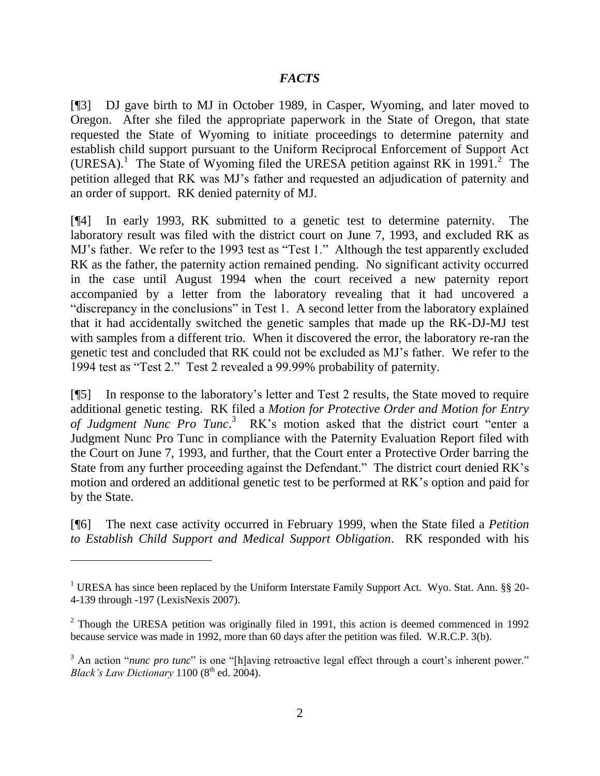# *FACTS*

[¶3] DJ gave birth to MJ in October 1989, in Casper, Wyoming, and later moved to Oregon. After she filed the appropriate paperwork in the State of Oregon, that state requested the State of Wyoming to initiate proceedings to determine paternity and establish child support pursuant to the Uniform Reciprocal Enforcement of Support Act (URESA).<sup>1</sup> The State of Wyoming filed the URESA petition against RK in 1991.<sup>2</sup> The petition alleged that RK was MJ"s father and requested an adjudication of paternity and an order of support. RK denied paternity of MJ.

[¶4] In early 1993, RK submitted to a genetic test to determine paternity. The laboratory result was filed with the district court on June 7, 1993, and excluded RK as MJ"s father. We refer to the 1993 test as "Test 1." Although the test apparently excluded RK as the father, the paternity action remained pending. No significant activity occurred in the case until August 1994 when the court received a new paternity report accompanied by a letter from the laboratory revealing that it had uncovered a "discrepancy in the conclusions" in Test 1. A second letter from the laboratory explained that it had accidentally switched the genetic samples that made up the RK-DJ-MJ test with samples from a different trio. When it discovered the error, the laboratory re-ran the genetic test and concluded that RK could not be excluded as MJ"s father. We refer to the 1994 test as "Test 2." Test 2 revealed a 99.99% probability of paternity.

[¶5] In response to the laboratory"s letter and Test 2 results, the State moved to require additional genetic testing. RK filed a *Motion for Protective Order and Motion for Entry of Judgment Nunc Pro Tunc*. 3 RK"s motion asked that the district court "enter a Judgment Nunc Pro Tunc in compliance with the Paternity Evaluation Report filed with the Court on June 7, 1993, and further, that the Court enter a Protective Order barring the State from any further proceeding against the Defendant." The district court denied RK's motion and ordered an additional genetic test to be performed at RK"s option and paid for by the State.

[¶6] The next case activity occurred in February 1999, when the State filed a *Petition to Establish Child Support and Medical Support Obligation*. RK responded with his

<sup>&</sup>lt;sup>1</sup> URESA has since been replaced by the Uniform Interstate Family Support Act. Wyo. Stat. Ann. §§ 20-4-139 through -197 (LexisNexis 2007).

<sup>&</sup>lt;sup>2</sup> Though the URESA petition was originally filed in 1991, this action is deemed commenced in 1992 because service was made in 1992, more than 60 days after the petition was filed. W.R.C.P. 3(b).

<sup>&</sup>lt;sup>3</sup> An action "*nunc pro tunc*" is one "[h]aving retroactive legal effect through a court's inherent power." *Black's Law Dictionary* 1100 (8<sup>th</sup> ed. 2004).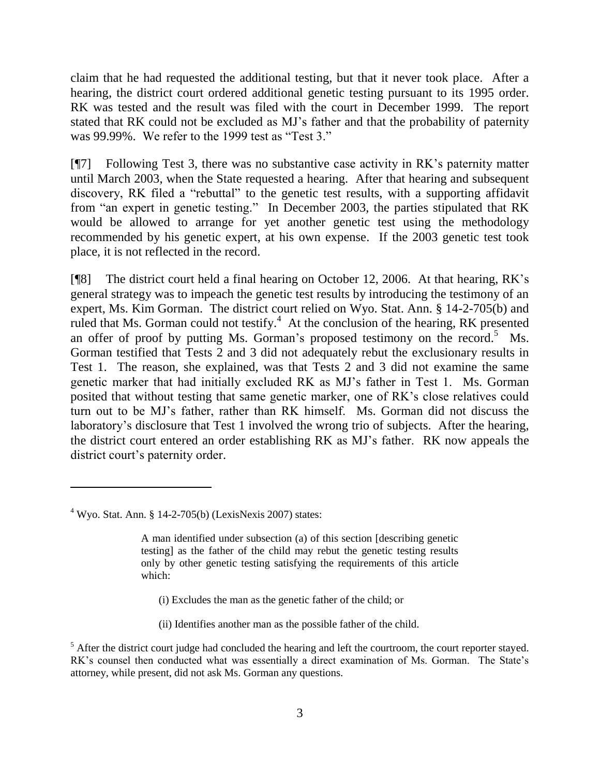claim that he had requested the additional testing, but that it never took place. After a hearing, the district court ordered additional genetic testing pursuant to its 1995 order. RK was tested and the result was filed with the court in December 1999. The report stated that RK could not be excluded as MJ"s father and that the probability of paternity was 99.99%. We refer to the 1999 test as "Test 3."

[¶7] Following Test 3, there was no substantive case activity in RK"s paternity matter until March 2003, when the State requested a hearing. After that hearing and subsequent discovery, RK filed a "rebuttal" to the genetic test results, with a supporting affidavit from "an expert in genetic testing." In December 2003, the parties stipulated that RK would be allowed to arrange for yet another genetic test using the methodology recommended by his genetic expert, at his own expense. If the 2003 genetic test took place, it is not reflected in the record.

[¶8] The district court held a final hearing on October 12, 2006. At that hearing, RK"s general strategy was to impeach the genetic test results by introducing the testimony of an expert, Ms. Kim Gorman. The district court relied on Wyo. Stat. Ann. § 14-2-705(b) and ruled that Ms. Gorman could not testify.<sup>4</sup> At the conclusion of the hearing, RK presented an offer of proof by putting Ms. Gorman's proposed testimony on the record.<sup>5</sup> Ms. Gorman testified that Tests 2 and 3 did not adequately rebut the exclusionary results in Test 1. The reason, she explained, was that Tests 2 and 3 did not examine the same genetic marker that had initially excluded RK as MJ"s father in Test 1. Ms. Gorman posited that without testing that same genetic marker, one of RK"s close relatives could turn out to be MJ"s father, rather than RK himself. Ms. Gorman did not discuss the laboratory's disclosure that Test 1 involved the wrong trio of subjects. After the hearing, the district court entered an order establishing RK as MJ"s father. RK now appeals the district court's paternity order.

- (i) Excludes the man as the genetic father of the child; or
- (ii) Identifies another man as the possible father of the child.

 $4$  Wyo. Stat. Ann. § 14-2-705(b) (LexisNexis 2007) states:

A man identified under subsection (a) of this section [describing genetic testing] as the father of the child may rebut the genetic testing results only by other genetic testing satisfying the requirements of this article which:

 $<sup>5</sup>$  After the district court judge had concluded the hearing and left the courtroom, the court reporter stayed.</sup> RK's counsel then conducted what was essentially a direct examination of Ms. Gorman. The State's attorney, while present, did not ask Ms. Gorman any questions.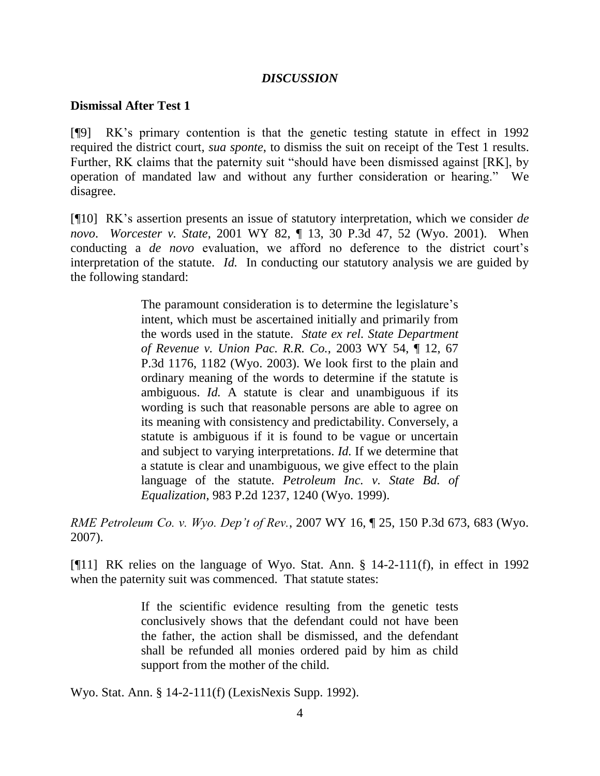#### *DISCUSSION*

#### **Dismissal After Test 1**

[¶9] RK"s primary contention is that the genetic testing statute in effect in 1992 required the district court, *sua sponte*, to dismiss the suit on receipt of the Test 1 results. Further, RK claims that the paternity suit "should have been dismissed against [RK], by operation of mandated law and without any further consideration or hearing." We disagree.

[¶10] RK"s assertion presents an issue of statutory interpretation, which we consider *de novo*. *Worcester v. State*, 2001 WY 82, ¶ 13, 30 P.3d 47, 52 (Wyo. 2001). When conducting a *de novo* evaluation, we afford no deference to the district court's interpretation of the statute. *Id.* In conducting our statutory analysis we are guided by the following standard:

> The paramount consideration is to determine the legislature's intent, which must be ascertained initially and primarily from the words used in the statute. *State ex rel. State Department of Revenue v. Union Pac. R.R. Co.*, 2003 WY 54, ¶ 12, 67 P.3d 1176, 1182 (Wyo. 2003). We look first to the plain and ordinary meaning of the words to determine if the statute is ambiguous. *Id.* A statute is clear and unambiguous if its wording is such that reasonable persons are able to agree on its meaning with consistency and predictability. Conversely, a statute is ambiguous if it is found to be vague or uncertain and subject to varying interpretations. *Id.* If we determine that a statute is clear and unambiguous, we give effect to the plain language of the statute. *Petroleum Inc. v. State Bd. of Equalization*, 983 P.2d 1237, 1240 (Wyo. 1999).

*RME Petroleum Co. v. Wyo. Dep't of Rev.*, 2007 WY 16, ¶ 25, 150 P.3d 673, 683 (Wyo. 2007).

[¶11] RK relies on the language of Wyo. Stat. Ann. § 14-2-111(f), in effect in 1992 when the paternity suit was commenced. That statute states:

> If the scientific evidence resulting from the genetic tests conclusively shows that the defendant could not have been the father, the action shall be dismissed, and the defendant shall be refunded all monies ordered paid by him as child support from the mother of the child.

Wyo. Stat. Ann. § 14-2-111(f) (LexisNexis Supp. 1992).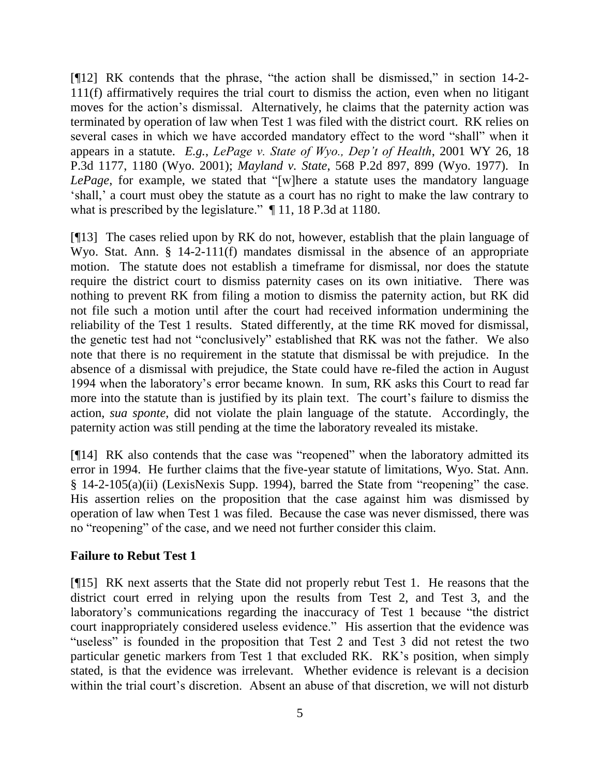[¶12] RK contends that the phrase, "the action shall be dismissed," in section 14-2- 111(f) affirmatively requires the trial court to dismiss the action, even when no litigant moves for the action's dismissal. Alternatively, he claims that the paternity action was terminated by operation of law when Test 1 was filed with the district court. RK relies on several cases in which we have accorded mandatory effect to the word "shall" when it appears in a statute. *E.g.*, *LePage v. State of Wyo., Dep't of Health*, 2001 WY 26, 18 P.3d 1177, 1180 (Wyo. 2001); *Mayland v. State*, 568 P.2d 897, 899 (Wyo. 1977). In *LePage*, for example, we stated that "[w]here a statute uses the mandatory language "shall," a court must obey the statute as a court has no right to make the law contrary to what is prescribed by the legislature."  $\P$  11, 18 P.3d at 1180.

[¶13] The cases relied upon by RK do not, however, establish that the plain language of Wyo. Stat. Ann. § 14-2-111(f) mandates dismissal in the absence of an appropriate motion. The statute does not establish a timeframe for dismissal, nor does the statute require the district court to dismiss paternity cases on its own initiative. There was nothing to prevent RK from filing a motion to dismiss the paternity action, but RK did not file such a motion until after the court had received information undermining the reliability of the Test 1 results. Stated differently, at the time RK moved for dismissal, the genetic test had not "conclusively" established that RK was not the father. We also note that there is no requirement in the statute that dismissal be with prejudice. In the absence of a dismissal with prejudice, the State could have re-filed the action in August 1994 when the laboratory"s error became known. In sum, RK asks this Court to read far more into the statute than is justified by its plain text. The court's failure to dismiss the action, *sua sponte*, did not violate the plain language of the statute. Accordingly, the paternity action was still pending at the time the laboratory revealed its mistake.

[¶14] RK also contends that the case was "reopened" when the laboratory admitted its error in 1994. He further claims that the five-year statute of limitations, Wyo. Stat. Ann. § 14-2-105(a)(ii) (LexisNexis Supp. 1994), barred the State from "reopening" the case. His assertion relies on the proposition that the case against him was dismissed by operation of law when Test 1 was filed. Because the case was never dismissed, there was no "reopening" of the case, and we need not further consider this claim.

# **Failure to Rebut Test 1**

[¶15] RK next asserts that the State did not properly rebut Test 1. He reasons that the district court erred in relying upon the results from Test 2, and Test 3, and the laboratory's communications regarding the inaccuracy of Test 1 because "the district" court inappropriately considered useless evidence." His assertion that the evidence was "useless" is founded in the proposition that Test 2 and Test 3 did not retest the two particular genetic markers from Test 1 that excluded RK. RK"s position, when simply stated, is that the evidence was irrelevant. Whether evidence is relevant is a decision within the trial court's discretion. Absent an abuse of that discretion, we will not disturb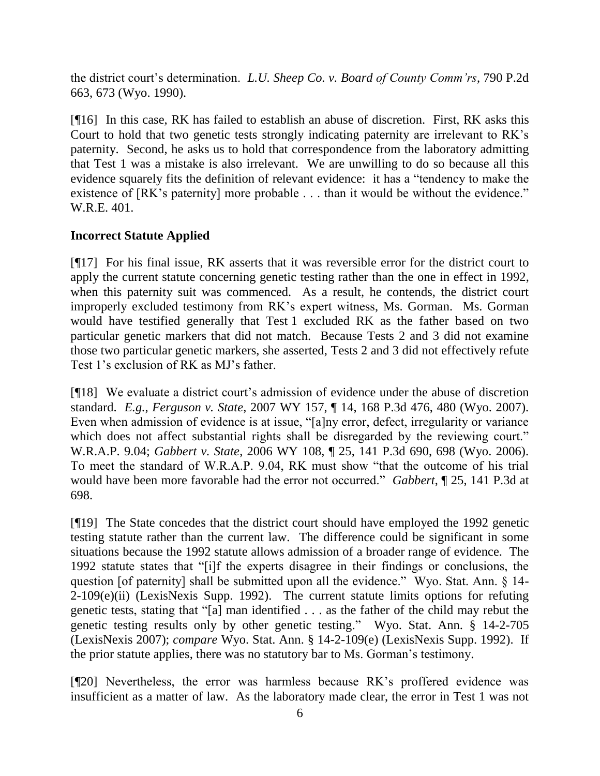the district court's determination. *L.U. Sheep Co. v. Board of County Comm'rs*, 790 P.2d 663, 673 (Wyo. 1990).

[¶16] In this case, RK has failed to establish an abuse of discretion. First, RK asks this Court to hold that two genetic tests strongly indicating paternity are irrelevant to RK"s paternity. Second, he asks us to hold that correspondence from the laboratory admitting that Test 1 was a mistake is also irrelevant. We are unwilling to do so because all this evidence squarely fits the definition of relevant evidence: it has a "tendency to make the existence of [RK's paternity] more probable . . . than it would be without the evidence." W.R.E. 401.

# **Incorrect Statute Applied**

[¶17] For his final issue, RK asserts that it was reversible error for the district court to apply the current statute concerning genetic testing rather than the one in effect in 1992, when this paternity suit was commenced. As a result, he contends, the district court improperly excluded testimony from RK"s expert witness, Ms. Gorman. Ms. Gorman would have testified generally that Test 1 excluded RK as the father based on two particular genetic markers that did not match. Because Tests 2 and 3 did not examine those two particular genetic markers, she asserted, Tests 2 and 3 did not effectively refute Test 1"s exclusion of RK as MJ"s father.

[¶18] We evaluate a district court"s admission of evidence under the abuse of discretion standard. *E.g.*, *Ferguson v. State*, 2007 WY 157, ¶ 14, 168 P.3d 476, 480 (Wyo. 2007). Even when admission of evidence is at issue, "[a]ny error, defect, irregularity or variance which does not affect substantial rights shall be disregarded by the reviewing court." W.R.A.P. 9.04; *Gabbert v. State*, 2006 WY 108, ¶ 25, 141 P.3d 690, 698 (Wyo. 2006). To meet the standard of W.R.A.P. 9.04, RK must show "that the outcome of his trial would have been more favorable had the error not occurred." *Gabbert*, ¶ 25, 141 P.3d at 698.

[¶19] The State concedes that the district court should have employed the 1992 genetic testing statute rather than the current law. The difference could be significant in some situations because the 1992 statute allows admission of a broader range of evidence. The 1992 statute states that "[i]f the experts disagree in their findings or conclusions, the question [of paternity] shall be submitted upon all the evidence." Wyo. Stat. Ann. § 14-  $2\n-109(e)(ii)$  (LexisNexis Supp. 1992). The current statute limits options for refuting genetic tests, stating that "[a] man identified . . . as the father of the child may rebut the genetic testing results only by other genetic testing." Wyo. Stat. Ann. § 14-2-705 (LexisNexis 2007); *compare* Wyo. Stat. Ann. § 14-2-109(e) (LexisNexis Supp. 1992). If the prior statute applies, there was no statutory bar to Ms. Gorman"s testimony.

[¶20] Nevertheless, the error was harmless because RK"s proffered evidence was insufficient as a matter of law. As the laboratory made clear, the error in Test 1 was not